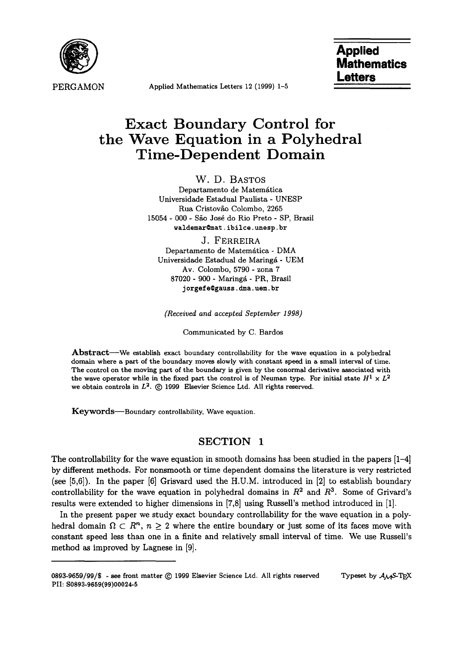

PERGAMON **Applied Mathematics Letters 12 (1999) 1-5** 

# **Applied Mathematics Letters**

# **Exact Boundary Control for the Wave Equation in a Polyhedral Time-Dependent Domain**

W. D. BASTOS Departamento de Matemática Universidade Estadual Paulista - UNESP Rua Cristov£o Colombo, 2265 15054 - 000 - São José do Rio Preto - SP, Brasil waldemar@mat.ibilce.unesp.br

J. FERREIRA Departamento de Matemática - DMA Universidade Estadual de Maringá - UEM Av. Colombo, 5790 - zona 7 87020 - 900 - Maringá - PR, Brasil j orgefe@gauss, dma. uem. br

*(Received and accepted September 1998)* 

Communicated by C. Bardos

Abstract—We establish exact boundary controllability for the wave equation in a polyhedral domain where a part of the boundary moves slowly with constant speed in a small interval of time. The control on the moving part of the boundary is given by the conormal derivative associated with the wave operator while in the fixed part the control is of Neuman type. For initial state  $H^1 \times L^2$ we obtain controls in  $L^2$ .  $\odot$  1999 Elsevier Science Ltd. All rights reserved.

Keywords-Boundary controllability, Wave equation.

## **SECTION 1**

The controllability for the wave equation in smooth domains has been studied in the papers [1-4] by different methods. For nonsmooth or time dependent domains the literature is very restricted (see [5,6]). In the paper [6] Grisvard used the H.U.M. introduced in [2] to establish boundary controllability for the wave equation in polyhedral domains in  $R<sup>2</sup>$  and  $R<sup>3</sup>$ . Some of Grivard's results were extended to higher dimensions in [7,8] using Russell's method introduced in [1].

In the present paper we study exact boundary controllability for the wave equation in a polyhedral domain  $\Omega \subset R^n$ ,  $n \geq 2$  where the entire boundary or just some of its faces move with constant speed less than one in a finite and relatively small interval of time. We use Russell's method as improved by Lagnese in [9].

<sup>0893-9659/99/\$ -</sup> see front matter  $\odot$  1999 Elsevier Science Ltd. All rights reserved Typeset by  $A_{\mathcal{M}}$ S-TEX PII: **S0893-9659(99)00024-5**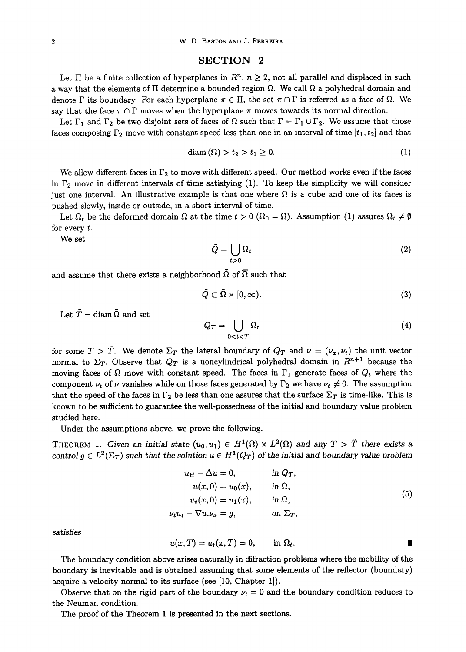#### SECTION 2

Let  $\Pi$  be a finite collection of hyperplanes in  $\mathbb{R}^n$ ,  $n \geq 2$ , not all parallel and displaced in such a way that the elements of  $\Pi$  determine a bounded region  $\Omega$ . We call  $\Omega$  a polyhedral domain and denote  $\Gamma$  its boundary. For each hyperplane  $\pi \in \Pi$ , the set  $\pi \cap \Gamma$  is referred as a face of  $\Omega$ . We say that the face  $\pi \cap \Gamma$  moves when the hyperplane  $\pi$  moves towards its normal direction.

Let  $\Gamma_1$  and  $\Gamma_2$  be two disjoint sets of faces of  $\Omega$  such that  $\Gamma = \Gamma_1 \cup \Gamma_2$ . We assume that those faces composing  $\Gamma_2$  move with constant speed less than one in an interval of time  $[t_1, t_2]$  and that

$$
\text{diam}\left(\Omega\right) > t_2 > t_1 \geq 0. \tag{1}
$$

We allow different faces in  $\Gamma_2$  to move with different speed. Our method works even if the faces in  $\Gamma_2$  move in different intervals of time satisfying (1). To keep the simplicity we will consider just one interval. An illustrative example is that one where  $\Omega$  is a cube and one of its faces is pushed slowly, inside or outside, in a short interval of time.

Let  $\Omega_t$  be the deformed domain  $\Omega$  at the time  $t > 0$  ( $\Omega_0 = \Omega$ ). Assumption (1) assures  $\Omega_t \neq \emptyset$ for every t.

We set

$$
\tilde{Q} = \bigcup_{t>0} \Omega_t \tag{2}
$$

and assume that there exists a neighborhood  $\tilde{\Omega}$  of  $\overline{\Omega}$  such that

$$
\tilde{Q} \subset \tilde{\Omega} \times [0, \infty). \tag{3}
$$

Let  $\tilde{T} = \text{diam} \,\tilde{\Omega}$  and set

$$
Q_T = \bigcup_{0 < t < T} \Omega_t \tag{4}
$$

for some  $T > \tilde{T}$ . We denote  $\Sigma_T$  the lateral boundary of  $Q_T$  and  $\nu = (\nu_x, \nu_t)$  the unit vector normal to  $\Sigma_T$ . Observe that  $Q_T$  is a noncylindrical polyhedral domain in  $R^{n+1}$  because the moving faces of  $\Omega$  move with constant speed. The faces in  $\Gamma_1$  generate faces of  $Q_t$  where the component  $\nu_t$  of  $\nu$  vanishes while on those faces generated by  $\Gamma_2$  we have  $\nu_t \neq 0$ . The assumption that the speed of the faces in  $\Gamma_2$  be less than one assures that the surface  $\Sigma_T$  is time-like. This is known to be sufficient to guarantee the well-possedness of the initial and boundary value problem studied here.

Under the assumptions above, we prove the following.

THEOREM 1. *Given an initial state*  $(u_0, u_1) \in H^1(\Omega) \times L^2(\Omega)$  and any  $T > \tilde{T}$  there exists a *control*  $g \in L^2(\Sigma_T)$  *such that the solution*  $u \in H^1(Q_T)$  *of the initial and boundary value problem* 

$$
u_{tt} - \Delta u = 0, \t in Q_T,u(x, 0) = u_0(x), \t in  $\Omega$ ,  

$$
u_t(x, 0) = u_1(x), \t in  $\Omega$ ,  

$$
\nu_t u_t - \nabla u \cdot \nu_x = g, \t on \Sigma_T,
$$
\t(5)
$$
$$

*satisfies* 

$$
u(x,T) = u_t(x,T) = 0, \qquad \text{in } \Omega_t.
$$

The boundary condition above arises naturally in difraction problems where the mobility of the boundary is inevitable and is obtained assuming that some elements of the reflector (boundary) acquire a velocity normal to its surface (see [10, Chapter 1]).

Observe that on the rigid part of the boundary  $\nu_t = 0$  and the boundary condition reduces to the Neuman condition.

The proof of the Theorem 1 is presented in the next sections.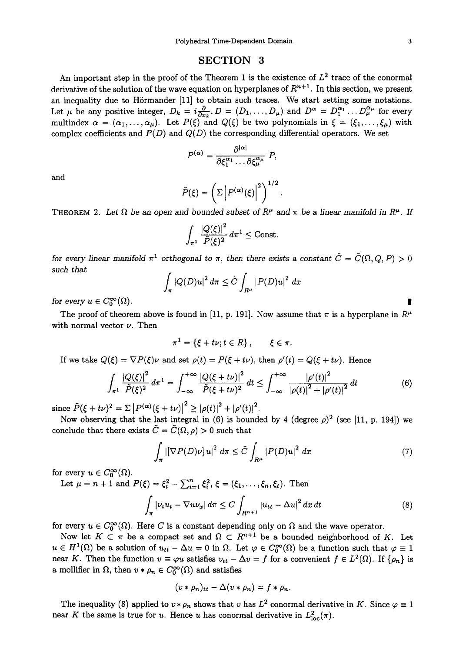## SECTION 3

An important step in the proof of the Theorem 1 is the existence of  $L^2$  trace of the conormal derivative of the solution of the wave equation on hyperplanes of  $R^{n+1}$ . In this section, we present an inequality due to Hörmander [11] to obtain such traces. We start setting some notations. Let  $\mu$  be any positive integer,  $D_k = i\frac{\partial}{\partial x_k}$ ,  $D = (D_1, \ldots, D_\mu)$  and  $D^\alpha = D_1^{\alpha_1} \ldots D_\mu^{\alpha_\mu}$  for every multindex  $\alpha = (\alpha_1, \ldots, \alpha_\mu)$ . Let  $P(\xi)$  and  $Q(\xi)$  be two polynomials in  $\xi = (\xi_1, \ldots, \xi_\mu)$  with complex coefficients and  $P(D)$  and  $Q(D)$  the corresponding differential operators. We set

$$
P^{(\alpha)} = \frac{\partial^{|\alpha|}}{\partial \xi_1^{\alpha_1} \dots \partial \xi_{\mu}^{\alpha_{\mu}}} P,
$$

and

$$
\tilde{P}(\xi) = \left(\Sigma \left| P^{(\alpha)}(\xi) \right|^2 \right)^{1/2}.
$$

THEOREM 2. Let  $\Omega$  be an open and bounded subset of  $R^{\mu}$  and  $\pi$  be a linear manifold in  $R^{\mu}$ . If

$$
\int_{\pi^1} \frac{|Q(\xi)|^2}{\tilde{P}(\xi)^2} d\pi^1 \leq \text{Const.}
$$

*for every linear manifold*  $\pi^1$  orthogonal to  $\pi$ , then there exists a constant  $\tilde{C} = \tilde{C}(\Omega, Q, P) > 0$ *such that* 

$$
\int_{\pi} |Q(D)u|^2 d\pi \leq \tilde{C} \int_{R^{\mu}} |P(D)u|^2 dx
$$

for every  $u \in C_0^{\infty}(\Omega)$ .

The proof of theorem above is found in [11, p. 191]. Now assume that  $\pi$  is a hyperplane in  $R^{\mu}$ with normal vector  $\nu$ . Then

$$
\pi^1 = \{\xi + t\nu; t \in R\}, \qquad \xi \in \pi.
$$

If we take  $Q(\xi) = \nabla P(\xi)\nu$  and set  $\rho(t) = P(\xi + t\nu)$ , then  $\rho'(t) = Q(\xi + t\nu)$ . Hence

$$
\int_{\pi^1} \frac{|Q(\xi)|^2}{\tilde{P}(\xi)^2} d\pi^1 = \int_{-\infty}^{+\infty} \frac{|Q(\xi + t\nu)|^2}{\tilde{P}(\xi + t\nu)^2} dt \le \int_{-\infty}^{+\infty} \frac{|\rho'(t)|^2}{|\rho(t)|^2 + |\rho'(t)|^2} dt \tag{6}
$$

since  $\tilde{P}(\xi + t\nu)^2 = \sum |P^{(\alpha)}(\xi + t\nu)|^2 \geq |\rho(t)|^2 + |\rho'(t)|^2$ .

Now observing that the last integral in (6) is bounded by 4 (degree  $\rho$ )<sup>2</sup> (see [11, p. 194]) we conclude that there exists  $\tilde{C} = \tilde{C}(\Omega, \rho) > 0$  such that

$$
\int_{\pi} \left| \left[ \nabla P(D) \nu \right] u \right|^2 d\pi \leq \tilde{C} \int_{R^{\mu}} \left| P(D) u \right|^2 d\pi \tag{7}
$$

for every  $u \in C_0^{\infty}(\Omega)$ .

Let  $\mu = n + 1$  and  $P(\xi) = \xi_t^2 - \sum_{i=1}^n \xi_i^2$ ,  $\xi = (\xi_1, \ldots, \xi_n, \xi_t)$ . Then

$$
\int_{\pi} |\nu_t u_t - \nabla u \nu_x| d\pi \le C \int_{R^{n+1}} |u_{tt} - \Delta u|^2 dx dt \tag{8}
$$

for every  $u \in C_0^{\infty}(\Omega)$ . Here C is a constant depending only on  $\Omega$  and the wave operator.

Now let  $K \subset \pi$  be a compact set and  $\Omega \subset R^{n+1}$  be a bounded neighborhood of K. Let  $u \in H^1(\Omega)$  be a solution of  $u_{tt} - \Delta u = 0$  in  $\Omega$ . Let  $\varphi \in C_0^{\infty}(\Omega)$  be a function such that  $\varphi \equiv 1$ near K. Then the function  $v \equiv \varphi u$  satisfies  $v_{tt} - \Delta v = f$  for a convenient  $f \in L^2(\Omega)$ . If  $\{\rho_n\}$  is a mollifier in  $\Omega$ , then  $v * \rho_n \in C_0^{\infty}(\Omega)$  and satisfies

$$
(v*\rho_n)_{tt}-\Delta(v*\rho_n)=f*\rho_n.
$$

The inequality (8) applied to  $v * \rho_n$  shows that v has  $L^2$  conormal derivative in K. Since  $\varphi \equiv 1$ near K the same is true for u. Hence u has conormal derivative in  $L^2_{\text{loc}}(\pi)$ .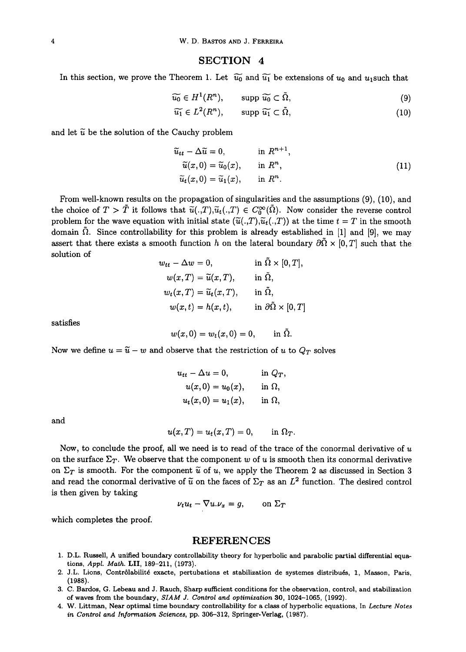#### SECTION **4**

In this section, we prove the Theorem 1. Let  $\tilde{u_0}$  and  $\tilde{u_1}$  be extensions of  $u_0$  and  $u_1$ such that

$$
\widetilde{u_0} \in H^1(R^n), \qquad \text{supp } \widetilde{u_0} \subset \widetilde{\Omega}, \tag{9}
$$

$$
\widetilde{u_1} \in L^2(R^n), \qquad \text{supp } \widetilde{u_1} \subset \Omega,\tag{10}
$$

and let  $\widetilde{u}$  be the solution of the Cauchy problem

$$
\widetilde{u}_{tt} - \Delta \widetilde{u} = 0, \qquad \text{in } R^{n+1},
$$
  
\n
$$
\widetilde{u}(x,0) = \widetilde{u}_0(x), \qquad \text{in } R^n,
$$
  
\n
$$
\widetilde{u}_t(x,0) = \widetilde{u}_1(x), \qquad \text{in } R^n.
$$
\n(11)

From well-known results on the propagation of singularities and the assumptions (9), (10), and the choice of  $T > \tilde{T}$  it follows that  $\tilde{u}(.,T),\tilde{u}_t(.,T) \in C_0^{\infty}(\tilde{\Omega})$ . Now consider the reverse control problem for the wave equation with initial state  $(\tilde{u}(.,T),\tilde{u}_t(.,T))$  at the time  $t = T$  in the smooth domain  $\overline{\Omega}$ . Since controllability for this problem is already established in [1] and [9], we may assert that there exists a smooth function h on the lateral boundary  $\partial \tilde{\Omega} \times [0, T]$  such that the solution of

$$
w_{tt} - \Delta w = 0, \t\t in \t\Omega \times [0, T],
$$
  
\n
$$
w(x,T) = \tilde{u}(x,T), \t\t in \t\tilde{\Omega},
$$
  
\n
$$
w_t(x,T) = \tilde{u}_t(x,T), \t\t in \t\tilde{\Omega},
$$
  
\n
$$
w(x,t) = h(x,t), \t\t in \t\partial\tilde{\Omega} \times [0,T]
$$

satisfies

 $w(x, 0) = w_t(x, 0) = 0,$  in  $\tilde{\Omega}$ .

Now we define  $u = \tilde{u} - w$  and observe that the restriction of u to  $Q_T$  solves

$$
u_{tt} - \Delta u = 0, \qquad \text{in } Q_T,
$$
  

$$
u(x, 0) = u_0(x), \qquad \text{in } \Omega,
$$
  

$$
u_t(x, 0) = u_1(x), \qquad \text{in } \Omega,
$$

and

$$
u(x,T) = u_t(x,T) = 0, \qquad \text{in } \Omega_T.
$$

Now, to conclude the proof, all we need is to read of the trace of the conormal derivative of  $u$ on the surface  $\Sigma_T$ . We observe that the component w of u is smooth then its conormal derivative on  $\Sigma_T$  is smooth. For the component  $\tilde{u}$  of u, we apply the Theorem 2 as discussed in Section 3 and read the conormal derivative of  $\tilde{u}$  on the faces of  $\Sigma_T$  as an  $L^2$  function. The desired control is then given by taking

$$
\nu_t u_t - \nabla u.\nu_x = g, \qquad \text{on } \Sigma_T
$$

which completes the proof.

#### REFERENCES

- i. D.L. Russell, A unified boundary controllability theory for hyperbolic and parabolic partial differential equations, *AppL Math.* LII, 189-211, (1973).
- 2. J.L. Lions, Contr61abilitd exacte, pertubations et stabilization de systemes distribuds, 1, Masson, Paris, (1988).
- 3. C. Bardos, G. Lebeau and J. Rauch, Sharp sufficient conditions for the observation, control, and stabilization of waves from the boundary, *SIAM J. Control and optimization* 30, 1024-1065, (1992).
- 4. W. Littman, Near optimal time boundary controllability for a class of hyperbolic equations, In *Lecture Notes in Control and Information Sciences,* pp. 306-312, Springer-Verlag, (1987).